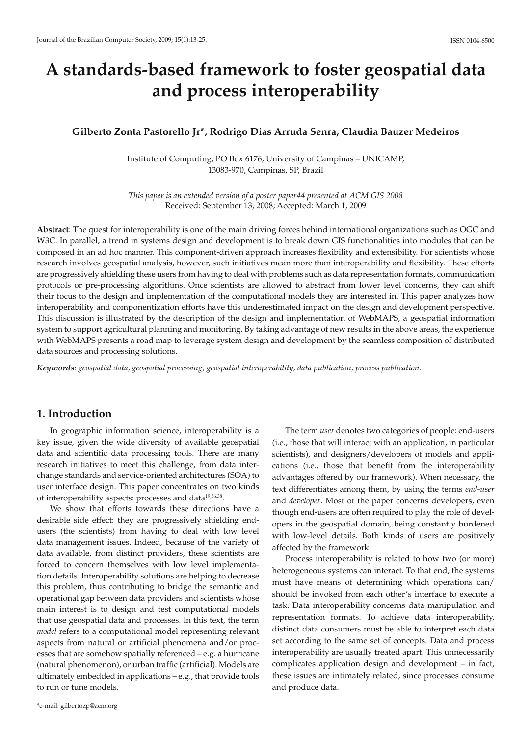# **A standards-based framework to foster geospatial data and process interoperability**

# **Gilberto Zonta Pastorello Jr\*, Rodrigo Dias Arruda Senra, Claudia Bauzer Medeiros**

Institute of Computing, PO Box 6176, University of Campinas – UNICAMP, 13083-970, Campinas, SP, Brazil

*This paper is an extended version of a poster paper44 presented at ACM GIS 2008* Received: September 13, 2008; Accepted: March 1, 2009

**Abstract**: The quest for interoperability is one of the main driving forces behind international organizations such as OGC and W3C. In parallel, a trend in systems design and development is to break down GIS functionalities into modules that can be composed in an ad hoc manner. This component-driven approach increases flexibility and extensibility. For scientists whose research involves geospatial analysis, however, such initiatives mean more than interoperability and flexibility. These efforts are progressively shielding these users from having to deal with problems such as data representation formats, communication protocols or pre-processing algorithms. Once scientists are allowed to abstract from lower level concerns, they can shift their focus to the design and implementation of the computational models they are interested in. This paper analyzes how interoperability and componentization efforts have this underestimated impact on the design and development perspective. This discussion is illustrated by the description of the design and implementation of WebMAPS, a geospatial information system to support agricultural planning and monitoring. By taking advantage of new results in the above areas, the experience with WebMAPS presents a road map to leverage system design and development by the seamless composition of distributed data sources and processing solutions.

*Keywords: geospatial data, geospatial processing, geospatial interoperability, data publication, process publication.*

# **1. Introduction**

In geographic information science, interoperability is a key issue, given the wide diversity of available geospatial data and scientific data processing tools. There are many research initiatives to meet this challenge, from data interchange standards and service-oriented architectures (SOA) to user interface design. This paper concentrates on two kinds of interoperability aspects: processes and data<sup>19,36,38</sup>.

We show that efforts towards these directions have a desirable side effect: they are progressively shielding endusers (the scientists) from having to deal with low level data management issues. Indeed, because of the variety of data available, from distinct providers, these scientists are forced to concern themselves with low level implementation details. Interoperability solutions are helping to decrease this problem, thus contributing to bridge the semantic and operational gap between data providers and scientists whose main interest is to design and test computational models that use geospatial data and processes. In this text, the term *model* refers to a computational model representing relevant aspects from natural or artificial phenomena and/or processes that are somehow spatially referenced – e.g. a hurricane (natural phenomenon), or urban traffic (artificial). Models are ultimately embedded in applications – e.g., that provide tools to run or tune models.

The term *user* denotes two categories of people: end-users (i.e., those that will interact with an application, in particular scientists), and designers/developers of models and applications (i.e., those that benefit from the interoperability advantages offered by our framework). When necessary, the text differentiates among them, by using the terms *end-user* and *developer*. Most of the paper concerns developers, even though end-users are often required to play the role of developers in the geospatial domain, being constantly burdened with low-level details. Both kinds of users are positively affected by the framework.

Process interoperability is related to how two (or more) heterogeneous systems can interact. To that end, the systems must have means of determining which operations can/ should be invoked from each other's interface to execute a task. Data interoperability concerns data manipulation and representation formats. To achieve data interoperability, distinct data consumers must be able to interpret each data set according to the same set of concepts. Data and process interoperability are usually treated apart. This unnecessarily complicates application design and development – in fact, these issues are intimately related, since processes consume and produce data.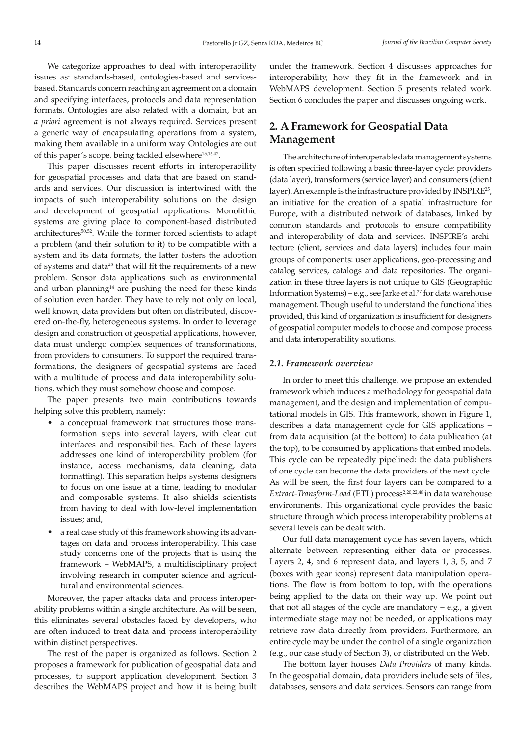We categorize approaches to deal with interoperability issues as: standards-based, ontologies-based and servicesbased. Standards concern reaching an agreement on a domain and specifying interfaces, protocols and data representation formats. Ontologies are also related with a domain, but an *a priori* agreement is not always required. Services present a generic way of encapsulating operations from a system, making them available in a uniform way. Ontologies are out of this paper's scope, being tackled elsewhere<sup>15,16,42</sup>.

This paper discusses recent efforts in interoperability for geospatial processes and data that are based on standards and services. Our discussion is intertwined with the impacts of such interoperability solutions on the design and development of geospatial applications. Monolithic systems are giving place to component-based distributed architectures<sup>50,52</sup>. While the former forced scientists to adapt a problem (and their solution to it) to be compatible with a system and its data formats, the latter fosters the adoption of systems and data<sup>28</sup> that will fit the requirements of a new problem. Sensor data applications such as environmental and urban planning $14$  are pushing the need for these kinds of solution even harder. They have to rely not only on local, well known, data providers but often on distributed, discovered on-the-fly, heterogeneous systems. In order to leverage design and construction of geospatial applications, however, data must undergo complex sequences of transformations, from providers to consumers. To support the required transformations, the designers of geospatial systems are faced with a multitude of process and data interoperability solutions, which they must somehow choose and compose.

The paper presents two main contributions towards helping solve this problem, namely:

- a conceptual framework that structures those transformation steps into several layers, with clear cut interfaces and responsibilities. Each of these layers addresses one kind of interoperability problem (for instance, access mechanisms, data cleaning, data formatting). This separation helps systems designers to focus on one issue at a time, leading to modular and composable systems. It also shields scientists from having to deal with low-level implementation issues; and,
- a real case study of this framework showing its advantages on data and process interoperability. This case study concerns one of the projects that is using the framework – WebMAPS, a multidisciplinary project involving research in computer science and agricultural and environmental sciences.

Moreover, the paper attacks data and process interoperability problems within a single architecture. As will be seen, this eliminates several obstacles faced by developers, who are often induced to treat data and process interoperability within distinct perspectives.

The rest of the paper is organized as follows. Section 2 proposes a framework for publication of geospatial data and processes, to support application development. Section 3 describes the WebMAPS project and how it is being built

under the framework. Section 4 discusses approaches for interoperability, how they fit in the framework and in WebMAPS development. Section 5 presents related work. Section 6 concludes the paper and discusses ongoing work.

# **2. A Framework for Geospatial Data Management**

The architecture of interoperable data management systems is often specified following a basic three-layer cycle: providers (data layer), transformers (service layer) and consumers (client layer). An example is the infrastructure provided by INSPIRE<sup>25</sup>, an initiative for the creation of a spatial infrastructure for Europe, with a distributed network of databases, linked by common standards and protocols to ensure compatibility and interoperability of data and services. INSPIRE's architecture (client, services and data layers) includes four main groups of components: user applications, geo-processing and catalog services, catalogs and data repositories. The organization in these three layers is not unique to GIS (Geographic Information Systems) – e.g., see Jarke et al.<sup>27</sup> for data warehouse management. Though useful to understand the functionalities provided, this kind of organization is insufficient for designers of geospatial computer models to choose and compose process and data interoperability solutions.

## *2.1. Framework overview*

In order to meet this challenge, we propose an extended framework which induces a methodology for geospatial data management, and the design and implementation of computational models in GIS. This framework, shown in Figure 1, describes a data management cycle for GIS applications – from data acquisition (at the bottom) to data publication (at the top), to be consumed by applications that embed models. This cycle can be repeatedly pipelined: the data publishers of one cycle can become the data providers of the next cycle. As will be seen, the first four layers can be compared to a Extract-Transform-Load (ETL) process<sup>2,20,22,48</sup> in data warehouse environments. This organizational cycle provides the basic structure through which process interoperability problems at several levels can be dealt with.

Our full data management cycle has seven layers, which alternate between representing either data or processes. Layers 2, 4, and 6 represent data, and layers 1, 3, 5, and 7 (boxes with gear icons) represent data manipulation operations. The flow is from bottom to top, with the operations being applied to the data on their way up. We point out that not all stages of the cycle are mandatory  $-$  e.g., a given intermediate stage may not be needed, or applications may retrieve raw data directly from providers. Furthermore, an entire cycle may be under the control of a single organization (e.g., our case study of Section 3), or distributed on the Web.

The bottom layer houses *Data Providers* of many kinds. In the geospatial domain, data providers include sets of files, databases, sensors and data services. Sensors can range from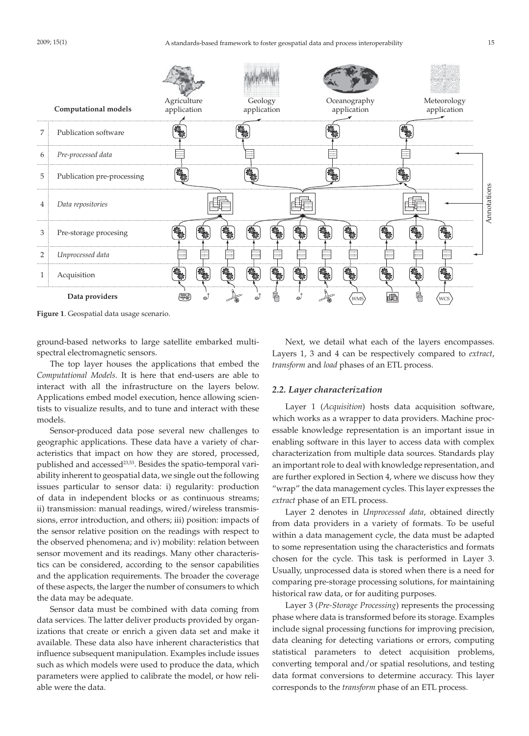

**Figure 1**. Geospatial data usage scenario.

ground-based networks to large satellite embarked multispectral electromagnetic sensors.

The top layer houses the applications that embed the *Computational Models*. It is here that end-users are able to interact with all the infrastructure on the layers below. Applications embed model execution, hence allowing scientists to visualize results, and to tune and interact with these models.

Sensor-produced data pose several new challenges to geographic applications. These data have a variety of characteristics that impact on how they are stored, processed, published and accessed<sup>23,53</sup>. Besides the spatio-temporal variability inherent to geospatial data, we single out the following issues particular to sensor data: i) regularity: production of data in independent blocks or as continuous streams; ii) transmission: manual readings, wired/wireless transmissions, error introduction, and others; iii) position: impacts of the sensor relative position on the readings with respect to the observed phenomena; and iv) mobility: relation between sensor movement and its readings. Many other characteristics can be considered, according to the sensor capabilities and the application requirements. The broader the coverage of these aspects, the larger the number of consumers to which the data may be adequate.

Sensor data must be combined with data coming from data services. The latter deliver products provided by organizations that create or enrich a given data set and make it available. These data also have inherent characteristics that influence subsequent manipulation. Examples include issues such as which models were used to produce the data, which parameters were applied to calibrate the model, or how reliable were the data.

Next, we detail what each of the layers encompasses. Layers 1, 3 and 4 can be respectively compared to *extract*, *transform* and *load* phases of an ETL process.

## *2.2. Layer characterization*

Layer 1 (*Acquisition*) hosts data acquisition software, which works as a wrapper to data providers. Machine processable knowledge representation is an important issue in enabling software in this layer to access data with complex characterization from multiple data sources. Standards play an important role to deal with knowledge representation, and are further explored in Section 4, where we discuss how they "wrap" the data management cycles. This layer expresses the *extract* phase of an ETL process.

Layer 2 denotes in *Unprocessed data*, obtained directly from data providers in a variety of formats. To be useful within a data management cycle, the data must be adapted to some representation using the characteristics and formats chosen for the cycle. This task is performed in Layer 3. Usually, unprocessed data is stored when there is a need for comparing pre-storage processing solutions, for maintaining historical raw data, or for auditing purposes.

Layer 3 (*Pre-Storage Processing*) represents the processing phase where data is transformed before its storage. Examples include signal processing functions for improving precision, data cleaning for detecting variations or errors, computing statistical parameters to detect acquisition problems, converting temporal and/or spatial resolutions, and testing data format conversions to determine accuracy. This layer corresponds to the *transform* phase of an ETL process.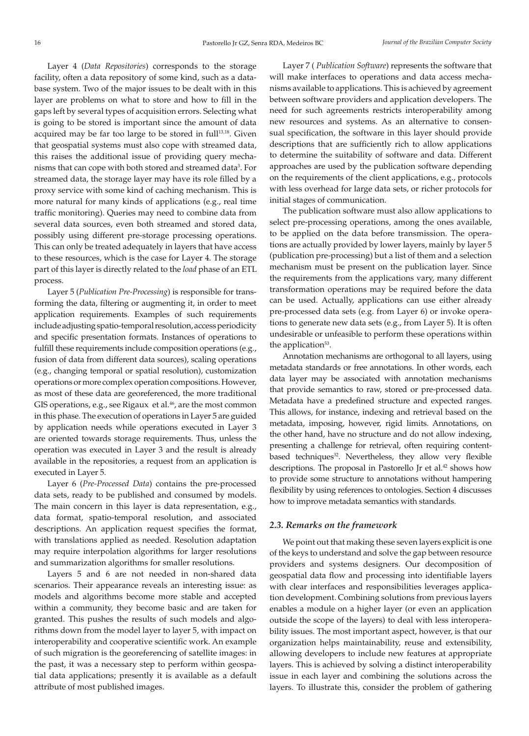Layer 4 (*Data Repositories*) corresponds to the storage facility, often a data repository of some kind, such as a database system. Two of the major issues to be dealt with in this layer are problems on what to store and how to fill in the gaps left by several types of acquisition errors. Selecting what is going to be stored is important since the amount of data acquired may be far too large to be stored in full<sup>13,18</sup>. Given that geospatial systems must also cope with streamed data, this raises the additional issue of providing query mechanisms that can cope with both stored and streamed data<sup>3</sup>. For streamed data, the storage layer may have its role filled by a proxy service with some kind of caching mechanism. This is more natural for many kinds of applications (e.g., real time traffic monitoring). Queries may need to combine data from several data sources, even both streamed and stored data, possibly using different pre-storage processing operations. This can only be treated adequately in layers that have access to these resources, which is the case for Layer 4. The storage part of this layer is directly related to the *load* phase of an ETL process.

Layer 5 (*Publication Pre-Processing*) is responsible for transforming the data, filtering or augmenting it, in order to meet application requirements. Examples of such requirements include adjusting spatio-temporal resolution, access periodicity and specific presentation formats. Instances of operations to fulfill these requirements include composition operations (e.g., fusion of data from different data sources), scaling operations (e.g., changing temporal or spatial resolution), customization operations or more complex operation compositions. However, as most of these data are georeferenced, the more traditional GIS operations, e.g., see Rigaux et al.<sup>46</sup>, are the most common in this phase. The execution of operations in Layer 5 are guided by application needs while operations executed in Layer 3 are oriented towards storage requirements. Thus, unless the operation was executed in Layer 3 and the result is already available in the repositories, a request from an application is executed in Layer 5.

Layer 6 (*Pre-Processed Data*) contains the pre-processed data sets, ready to be published and consumed by models. The main concern in this layer is data representation, e.g., data format, spatio-temporal resolution, and associated descriptions. An application request specifies the format, with translations applied as needed. Resolution adaptation may require interpolation algorithms for larger resolutions and summarization algorithms for smaller resolutions.

Layers 5 and 6 are not needed in non-shared data scenarios. Their appearance reveals an interesting issue: as models and algorithms become more stable and accepted within a community, they become basic and are taken for granted. This pushes the results of such models and algorithms down from the model layer to layer 5, with impact on interoperability and cooperative scientific work. An example of such migration is the georeferencing of satellite images: in the past, it was a necessary step to perform within geospatial data applications; presently it is available as a default attribute of most published images.

Layer 7 ( *Publication Software*) represents the software that will make interfaces to operations and data access mechanisms available to applications. This is achieved by agreement between software providers and application developers. The need for such agreements restricts interoperability among new resources and systems. As an alternative to consensual specification, the software in this layer should provide descriptions that are sufficiently rich to allow applications to determine the suitability of software and data. Different approaches are used by the publication software depending on the requirements of the client applications, e.g., protocols with less overhead for large data sets, or richer protocols for initial stages of communication.

The publication software must also allow applications to select pre-processing operations, among the ones available, to be applied on the data before transmission. The operations are actually provided by lower layers, mainly by layer 5 (publication pre-processing) but a list of them and a selection mechanism must be present on the publication layer. Since the requirements from the applications vary, many different transformation operations may be required before the data can be used. Actually, applications can use either already pre-processed data sets (e.g. from Layer 6) or invoke operations to generate new data sets (e.g., from Layer 5). It is often undesirable or unfeasible to perform these operations within the application<sup>53</sup>.

Annotation mechanisms are orthogonal to all layers, using metadata standards or free annotations. In other words, each data layer may be associated with annotation mechanisms that provide semantics to raw, stored or pre-processed data. Metadata have a predefined structure and expected ranges. This allows, for instance, indexing and retrieval based on the metadata, imposing, however, rigid limits. Annotations, on the other hand, have no structure and do not allow indexing, presenting a challenge for retrieval, often requiring contentbased techniques<sup>32</sup>. Nevertheless, they allow very flexible descriptions. The proposal in Pastorello Jr et al.<sup>42</sup> shows how to provide some structure to annotations without hampering flexibility by using references to ontologies. Section 4 discusses how to improve metadata semantics with standards.

## *2.3. Remarks on the framework*

We point out that making these seven layers explicit is one of the keys to understand and solve the gap between resource providers and systems designers. Our decomposition of geospatial data flow and processing into identifiable layers with clear interfaces and responsibilities leverages application development. Combining solutions from previous layers enables a module on a higher layer (or even an application outside the scope of the layers) to deal with less interoperability issues. The most important aspect, however, is that our organization helps maintainability, reuse and extensibility, allowing developers to include new features at appropriate layers. This is achieved by solving a distinct interoperability issue in each layer and combining the solutions across the layers. To illustrate this, consider the problem of gathering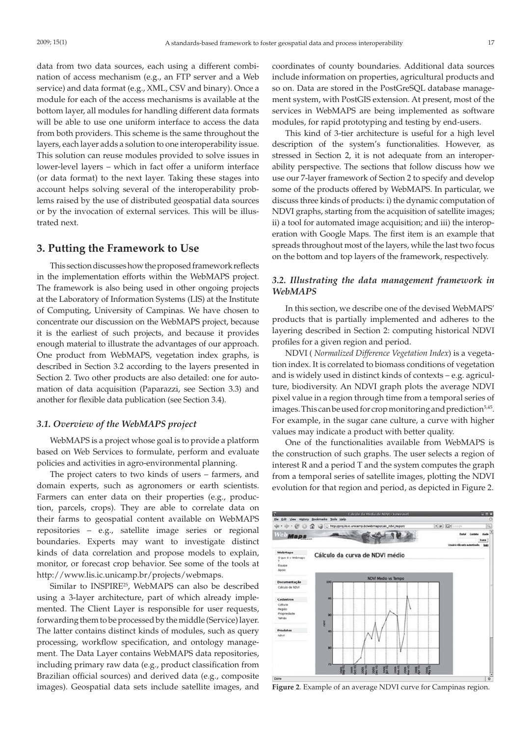data from two data sources, each using a different combination of access mechanism (e.g., an FTP server and a Web service) and data format (e.g., XML, CSV and binary). Once a module for each of the access mechanisms is available at the bottom layer, all modules for handling different data formats will be able to use one uniform interface to access the data from both providers. This scheme is the same throughout the layers, each layer adds a solution to one interoperability issue. This solution can reuse modules provided to solve issues in lower-level layers – which in fact offer a uniform interface (or data format) to the next layer. Taking these stages into account helps solving several of the interoperability problems raised by the use of distributed geospatial data sources or by the invocation of external services. This will be illustrated next.

# **3. Putting the Framework to Use**

This section discusses how the proposed framework reflects in the implementation efforts within the WebMAPS project. The framework is also being used in other ongoing projects at the Laboratory of Information Systems (LIS) at the Institute of Computing, University of Campinas. We have chosen to concentrate our discussion on the WebMAPS project, because it is the earliest of such projects, and because it provides enough material to illustrate the advantages of our approach. One product from WebMAPS, vegetation index graphs, is described in Section 3.2 according to the layers presented in Section 2. Two other products are also detailed: one for automation of data acquisition (Paparazzi, see Section 3.3) and another for flexible data publication (see Section 3.4).

#### *3.1. Overview of the WebMAPS project*

WebMAPS is a project whose goal is to provide a platform based on Web Services to formulate, perform and evaluate policies and activities in agro-environmental planning.

The project caters to two kinds of users – farmers, and domain experts, such as agronomers or earth scientists. Farmers can enter data on their properties (e.g., production, parcels, crops). They are able to correlate data on their farms to geospatial content available on WebMAPS repositories – e.g., satellite image series or regional boundaries. Experts may want to investigate distinct kinds of data correlation and propose models to explain, monitor, or forecast crop behavior. See some of the tools at http://www.lis.ic.unicamp.br/projects/webmaps.

Similar to INSPIRE25, WebMAPS can also be described using a 3-layer architecture, part of which already implemented. The Client Layer is responsible for user requests, forwarding them to be processed by the middle (Service) layer. The latter contains distinct kinds of modules, such as query processing, workflow specification, and ontology management. The Data Layer contains WebMAPS data repositories, including primary raw data (e.g., product classification from Brazilian official sources) and derived data (e.g., composite images). Geospatial data sets include satellite images, and

coordinates of county boundaries. Additional data sources include information on properties, agricultural products and so on. Data are stored in the PostGreSQL database management system, with PostGIS extension. At present, most of the services in WebMAPS are being implemented as software modules, for rapid prototyping and testing by end-users.

This kind of 3-tier architecture is useful for a high level description of the system's functionalities. However, as stressed in Section 2, it is not adequate from an interoperability perspective. The sections that follow discuss how we use our 7-layer framework of Section 2 to specify and develop some of the products offered by WebMAPS. In particular, we discuss three kinds of products: i) the dynamic computation of NDVI graphs, starting from the acquisition of satellite images; ii) a tool for automated image acquisition; and iii) the interoperation with Google Maps. The first item is an example that spreads throughout most of the layers, while the last two focus on the bottom and top layers of the framework, respectively.

# *3.2. Illustrating the data management framework in WebMAPS*

In this section, we describe one of the devised WebMAPS' products that is partially implemented and adheres to the layering described in Section 2: computing historical NDVI profiles for a given region and period.

NDVI ( *Normalized Difference Vegetation Index*) is a vegetation index. It is correlated to biomass conditions of vegetation and is widely used in distinct kinds of contexts – e.g. agriculture, biodiversity. An NDVI graph plots the average NDVI pixel value in a region through time from a temporal series of images. This can be used for crop monitoring and prediction $5.45$ . For example, in the sugar cane culture, a curve with higher values may indicate a product with better quality.

One of the functionalities available from WebMAPS is the construction of such graphs. The user selects a region of interest R and a period T and the system computes the graph from a temporal series of satellite images, plotting the NDVI evolution for that region and period, as depicted in Figure 2.



**Figure 2**. Example of an average NDVI curve for Campinas region.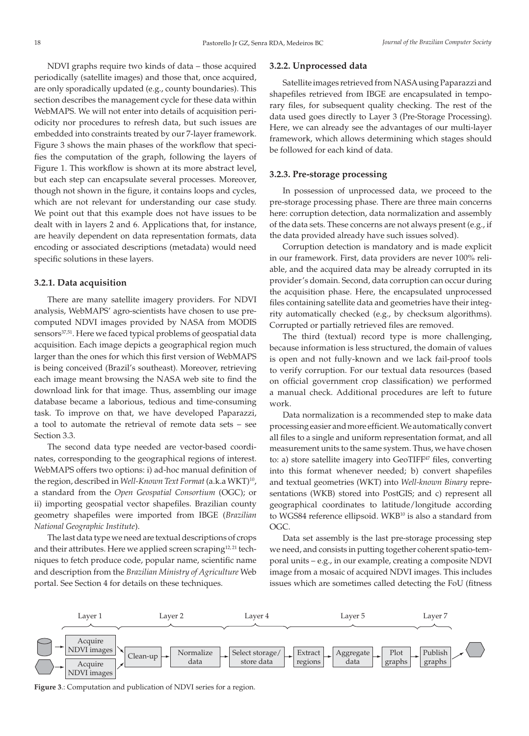NDVI graphs require two kinds of data – those acquired periodically (satellite images) and those that, once acquired, are only sporadically updated (e.g., county boundaries). This section describes the management cycle for these data within WebMAPS. We will not enter into details of acquisition periodicity nor procedures to refresh data, but such issues are embedded into constraints treated by our 7-layer framework. Figure 3 shows the main phases of the workflow that specifies the computation of the graph, following the layers of Figure 1. This workflow is shown at its more abstract level, but each step can encapsulate several processes. Moreover, though not shown in the figure, it contains loops and cycles, which are not relevant for understanding our case study. We point out that this example does not have issues to be dealt with in layers 2 and 6. Applications that, for instance, are heavily dependent on data representation formats, data encoding or associated descriptions (metadata) would need specific solutions in these layers.

#### **3.2.1. Data acquisition**

There are many satellite imagery providers. For NDVI analysis, WebMAPS' agro-scientists have chosen to use precomputed NDVI images provided by NASA from MODIS sensors<sup>37,51</sup>. Here we faced typical problems of geospatial data acquisition. Each image depicts a geographical region much larger than the ones for which this first version of WebMAPS is being conceived (Brazil's southeast). Moreover, retrieving each image meant browsing the NASA web site to find the download link for that image. Thus, assembling our image database became a laborious, tedious and time-consuming task. To improve on that, we have developed Paparazzi, a tool to automate the retrieval of remote data sets – see Section 3.3.

The second data type needed are vector-based coordinates, corresponding to the geographical regions of interest. WebMAPS offers two options: i) ad-hoc manual definition of the region, described in *Well-Known Text Format* (a.k.a WKT)<sup>10</sup>, a standard from the *Open Geospatial Consortium* (OGC); or ii) importing geospatial vector shapefiles. Brazilian county geometry shapefiles were imported from IBGE (*Brazilian National Geographic Institute*).

The last data type we need are textual descriptions of crops and their attributes. Here we applied screen scraping<sup>12,21</sup> techniques to fetch produce code, popular name, scientific name and description from the *Brazilian Ministry of Agriculture* Web portal. See Section 4 for details on these techniques.

## **3.2.2. Unprocessed data**

Satellite images retrieved from NASA using Paparazzi and shapefiles retrieved from IBGE are encapsulated in temporary files, for subsequent quality checking. The rest of the data used goes directly to Layer 3 (Pre-Storage Processing). Here, we can already see the advantages of our multi-layer framework, which allows determining which stages should be followed for each kind of data.

## **3.2.3. Pre-storage processing**

In possession of unprocessed data, we proceed to the pre-storage processing phase. There are three main concerns here: corruption detection, data normalization and assembly of the data sets. These concerns are not always present (e.g., if the data provided already have such issues solved).

Corruption detection is mandatory and is made explicit in our framework. First, data providers are never 100% reliable, and the acquired data may be already corrupted in its provider's domain. Second, data corruption can occur during the acquisition phase. Here, the encapsulated unprocessed files containing satellite data and geometries have their integrity automatically checked (e.g., by checksum algorithms). Corrupted or partially retrieved files are removed.

The third (textual) record type is more challenging, because information is less structured, the domain of values is open and not fully-known and we lack fail-proof tools to verify corruption. For our textual data resources (based on official government crop classification) we performed a manual check. Additional procedures are left to future work.

Data normalization is a recommended step to make data processing easier and more efficient. We automatically convert all files to a single and uniform representation format, and all measurement units to the same system. Thus, we have chosen to: a) store satellite imagery into GeoTIFF<sup>47</sup> files, converting into this format whenever needed; b) convert shapefiles and textual geometries (WKT) into *Well-known Binary* representations (WKB) stored into PostGIS; and c) represent all geographical coordinates to latitude/longitude according to WGS84 reference ellipsoid. WKB<sup>10</sup> is also a standard from OGC.

Data set assembly is the last pre-storage processing step we need, and consists in putting together coherent spatio-temporal units – e.g., in our example, creating a composite NDVI image from a mosaic of acquired NDVI images. This includes issues which are sometimes called detecting the FoU (fitness



**Figure 3**.: Computation and publication of NDVI series for a region.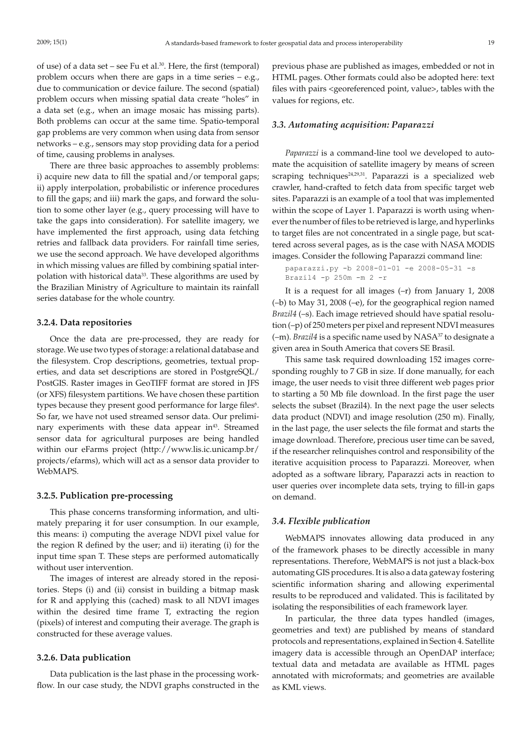of use) of a data set – see Fu et al. $30$ . Here, the first (temporal) problem occurs when there are gaps in a time series  $-$  e.g., due to communication or device failure. The second (spatial) problem occurs when missing spatial data create "holes" in a data set (e.g., when an image mosaic has missing parts). Both problems can occur at the same time. Spatio-temporal gap problems are very common when using data from sensor networks – e.g., sensors may stop providing data for a period of time, causing problems in analyses.

There are three basic approaches to assembly problems: i) acquire new data to fill the spatial and/or temporal gaps; ii) apply interpolation, probabilistic or inference procedures to fill the gaps; and iii) mark the gaps, and forward the solution to some other layer (e.g., query processing will have to take the gaps into consideration). For satellite imagery, we have implemented the first approach, using data fetching retries and fallback data providers. For rainfall time series, we use the second approach. We have developed algorithms in which missing values are filled by combining spatial interpolation with historical data<sup>33</sup>. These algorithms are used by the Brazilian Ministry of Agriculture to maintain its rainfall series database for the whole country.

#### **3.2.4. Data repositories**

Once the data are pre-processed, they are ready for storage. We use two types of storage: a relational database and the filesystem. Crop descriptions, geometries, textual properties, and data set descriptions are stored in PostgreSQL/ PostGIS. Raster images in GeoTIFF format are stored in JFS (or XFS) filesystem partitions. We have chosen these partition types because they present good performance for large files<sup>6</sup>. So far, we have not used streamed sensor data. Our preliminary experiments with these data appear in<sup>43</sup>. Streamed sensor data for agricultural purposes are being handled within our eFarms project (http://www.lis.ic.unicamp.br/ projects/efarms), which will act as a sensor data provider to WebMAPS.

## **3.2.5. Publication pre-processing**

This phase concerns transforming information, and ultimately preparing it for user consumption. In our example, this means: i) computing the average NDVI pixel value for the region R defined by the user; and ii) iterating (i) for the input time span T. These steps are performed automatically without user intervention.

The images of interest are already stored in the repositories. Steps (i) and (ii) consist in building a bitmap mask for R and applying this (cached) mask to all NDVI images within the desired time frame T, extracting the region (pixels) of interest and computing their average. The graph is constructed for these average values.

## **3.2.6. Data publication**

Data publication is the last phase in the processing workflow. In our case study, the NDVI graphs constructed in the previous phase are published as images, embedded or not in HTML pages. Other formats could also be adopted here: text files with pairs <georeferenced point, value>, tables with the values for regions, etc.

#### *3.3. Automating acquisition: Paparazzi*

*Paparazzi* is a command-line tool we developed to automate the acquisition of satellite imagery by means of screen scraping techniques $24,29,31$ . Paparazzi is a specialized web crawler, hand-crafted to fetch data from specific target web sites. Paparazzi is an example of a tool that was implemented within the scope of Layer 1. Paparazzi is worth using whenever the number of files to be retrieved is large, and hyperlinks to target files are not concentrated in a single page, but scattered across several pages, as is the case with NASA MODIS images. Consider the following Paparazzi command line:

```
paparazzi.py -b 2008-01-01 -e 2008-05-31 -s 
Brazil4 -p 250m -m 2 -r
```
It is a request for all images (–r) from January 1, 2008 (–b) to May 31, 2008 (–e), for the geographical region named *Brazil4* (–s). Each image retrieved should have spatial resolution (–p) of 250 meters per pixel and represent NDVI measures (-m). *Brazil4* is a specific name used by NASA<sup>37</sup> to designate a given area in South America that covers SE Brasil.

This same task required downloading 152 images corresponding roughly to 7 GB in size. If done manually, for each image, the user needs to visit three different web pages prior to starting a 50 Mb file download. In the first page the user selects the subset (Brazil4). In the next page the user selects data product (NDVI) and image resolution (250 m). Finally, in the last page, the user selects the file format and starts the image download. Therefore, precious user time can be saved, if the researcher relinquishes control and responsibility of the iterative acquisition process to Paparazzi. Moreover, when adopted as a software library, Paparazzi acts in reaction to user queries over incomplete data sets, trying to fill-in gaps on demand.

#### *3.4. Flexible publication*

WebMAPS innovates allowing data produced in any of the framework phases to be directly accessible in many representations. Therefore, WebMAPS is not just a black-box automating GIS procedures. It is also a data gateway fostering scientific information sharing and allowing experimental results to be reproduced and validated. This is facilitated by isolating the responsibilities of each framework layer.

In particular, the three data types handled (images, geometries and text) are published by means of standard protocols and representations, explained in Section 4. Satellite imagery data is accessible through an OpenDAP interface; textual data and metadata are available as HTML pages annotated with microformats; and geometries are available as KML views.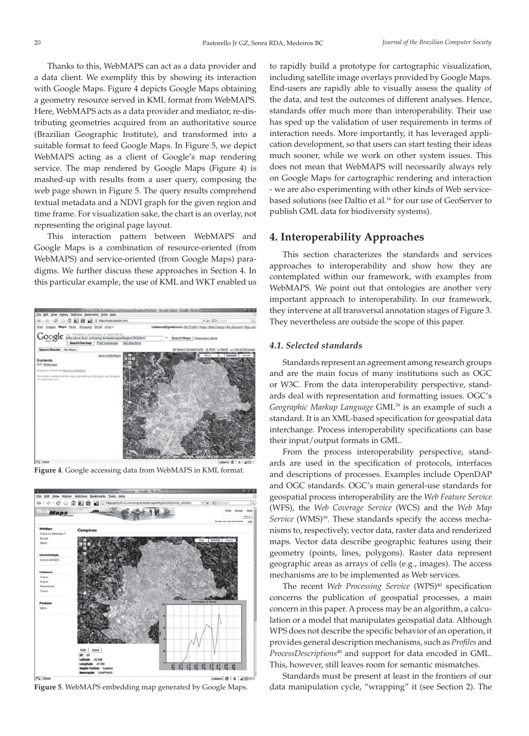Thanks to this, WebMAPS can act as a data provider and a data client. We exemplify this by showing its interaction with Google Maps. Figure 4 depicts Google Maps obtaining a geometry resource served in KML format from WebMAPS. Here, WebMAPS acts as a data provider and mediator, re-distributing geometries acquired from an authoritative source (Brazilian Geographic Institute), and transformed into a suitable format to feed Google Maps. In Figure 5, we depict WebMAPS acting as a client of Google's map rendering service. The map rendered by Google Maps (Figure 4) is mashed-up with results from a user query, composing the web page shown in Figure 5. The query results comprehend textual metadata and a NDVI graph for the given region and time frame. For visualization sake, the chart is an overlay, not representing the original page layout.

This interaction pattern between WebMAPS and Google Maps is a combination of resource-oriented (from WebMAPS) and service-oriented (from Google Maps) paradigms. We further discuss these approaches in Section 4. In this particular example, the use of KML and WKT enabled us



**Figure 4**. Google accessing data from WebMAPS in KML format.



to rapidly build a prototype for cartographic visualization, including satellite image overlays provided by Google Maps. End-users are rapidly able to visually assess the quality of the data, and test the outcomes of different analyses. Hence, standards offer much more than interoperability. Their use has sped up the validation of user requirements in terms of interaction needs. More importantly, it has leveraged application development, so that users can start testing their ideas much sooner, while we work on other system issues. This does not mean that WebMAPS will necessarily always rely on Google Maps for cartographic rendering and interaction - we are also experimenting with other kinds of Web servicebased solutions (see Daltio et al.<sup>16</sup> for our use of GeoServer to publish GML data for biodiversity systems).

## **4. Interoperability Approaches**

This section characterizes the standards and services approaches to interoperability and show how they are contemplated within our framework, with examples from WebMAPS. We point out that ontologies are another very important approach to interoperability. In our framework, they intervene at all transversal annotation stages of Figure 3. They nevertheless are outside the scope of this paper.

## *4.1. Selected standards*

Standards represent an agreement among research groups and are the main focus of many institutions such as OGC or W3C. From the data interoperability perspective, standards deal with representation and formatting issues. OGC's *Geographic Markup Language* GML39 is an example of such a standard. It is an XML-based specification for geospatial data interchange. Process interoperability specifications can base their input/output formats in GML.

From the process interoperability perspective, standards are used in the specification of protocols, interfaces and descriptions of processes. Examples include OpenDAP and OGC standards. OGC's main general-use standards for geospatial process interoperability are the *Web Feature Service* (WFS), the *Web Coverage Service* (WCS) and the *Web Map*  Service (WMS)<sup>39</sup>. These standards specify the access mechanisms to, respectively, vector data, raster data and renderized maps. Vector data describe geographic features using their geometry (points, lines, polygons). Raster data represent geographic areas as arrays of cells (e.g., images). The access mechanisms are to be implemented as Web services.

The recent *Web Processing Service* (WPS)<sup>40</sup> specification concerns the publication of geospatial processes, a main concern in this paper. A process may be an algorithm, a calculation or a model that manipulates geospatial data. Although WPS does not describe the specific behavior of an operation, it provides general description mechanisms, such as *Profiles* and *ProcessDescriptions*40 and support for data encoded in GML. This, however, still leaves room for semantic mismatches.

Standards must be present at least in the frontiers of our **Figure 5**. WebMAPS embedding map generated by Google Maps. data manipulation cycle, "wrapping" it (see Section 2). The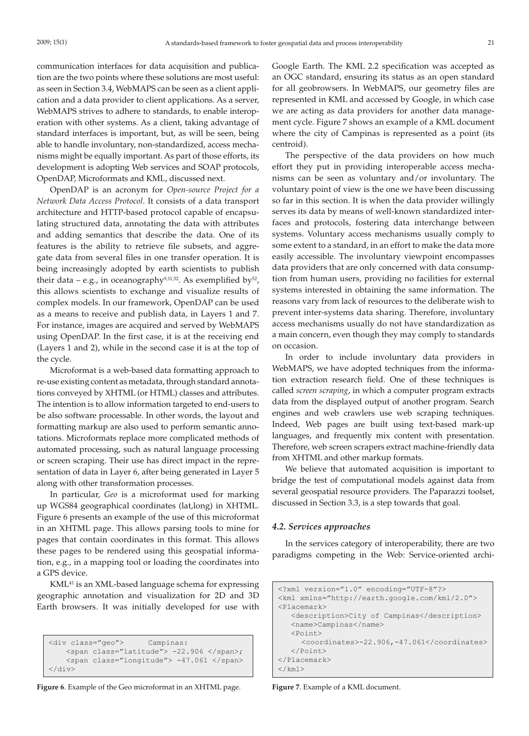communication interfaces for data acquisition and publication are the two points where these solutions are most useful: as seen in Section 3.4, WebMAPS can be seen as a client application and a data provider to client applications. As a server, WebMAPS strives to adhere to standards, to enable interoperation with other systems. As a client, taking advantage of standard interfaces is important, but, as will be seen, being able to handle involuntary, non-standardized, access mechanisms might be equally important. As part of those efforts, its development is adopting Web services and SOAP protocols, OpenDAP, Microformats and KML, discussed next.

OpenDAP is an acronym for *Open-source Project for a Network Data Access Protocol*. It consists of a data transport architecture and HTTP-based protocol capable of encapsulating structured data, annotating the data with attributes and adding semantics that describe the data. One of its features is the ability to retrieve file subsets, and aggregate data from several files in one transfer operation. It is being increasingly adopted by earth scientists to publish their data – e.g., in oceanography<sup>9,11,52</sup>. As exemplified by<sup>52</sup>, this allows scientists to exchange and visualize results of complex models. In our framework, OpenDAP can be used as a means to receive and publish data, in Layers 1 and 7. For instance, images are acquired and served by WebMAPS using OpenDAP. In the first case, it is at the receiving end (Layers 1 and 2), while in the second case it is at the top of the cycle.

Microformat is a web-based data formatting approach to re-use existing content as metadata, through standard annotations conveyed by XHTML (or HTML) classes and attributes. The intention is to allow information targeted to end-users to be also software processable. In other words, the layout and formatting markup are also used to perform semantic annotations. Microformats replace more complicated methods of automated processing, such as natural language processing or screen scraping. Their use has direct impact in the representation of data in Layer 6, after being generated in Layer 5 along with other transformation processes.

In particular, *Geo* is a microformat used for marking up WGS84 geographical coordinates (lat,long) in XHTML. Figure 6 presents an example of the use of this microformat in an XHTML page. This allows parsing tools to mine for pages that contain coordinates in this format. This allows these pages to be rendered using this geospatial information, e.g., in a mapping tool or loading the coordinates into a GPS device.

KML<sup>41</sup> is an XML-based language schema for expressing geographic annotation and visualization for 2D and 3D Earth browsers. It was initially developed for use with

```
<div class="geo"> Campinas:
    <span class="latitude"> -22.906 </span>;
   <span class="longitude"> -47.061 </span>
</div>
```
**Figure 6**. Example of the Geo microformat in an XHTML page.

Google Earth. The KML 2.2 specification was accepted as an OGC standard, ensuring its status as an open standard for all geobrowsers. In WebMAPS, our geometry files are represented in KML and accessed by Google, in which case we are acting as data providers for another data management cycle. Figure 7 shows an example of a KML document where the city of Campinas is represented as a point (its centroid).

The perspective of the data providers on how much effort they put in providing interoperable access mechanisms can be seen as voluntary and/or involuntary. The voluntary point of view is the one we have been discussing so far in this section. It is when the data provider willingly serves its data by means of well-known standardized interfaces and protocols, fostering data interchange between systems. Voluntary access mechanisms usually comply to some extent to a standard, in an effort to make the data more easily accessible. The involuntary viewpoint encompasses data providers that are only concerned with data consumption from human users, providing no facilities for external systems interested in obtaining the same information. The reasons vary from lack of resources to the deliberate wish to prevent inter-systems data sharing. Therefore, involuntary access mechanisms usually do not have standardization as a main concern, even though they may comply to standards on occasion.

In order to include involuntary data providers in WebMAPS, we have adopted techniques from the information extraction research field. One of these techniques is called *screen scraping*, in which a computer program extracts data from the displayed output of another program. Search engines and web crawlers use web scraping techniques. Indeed, Web pages are built using text-based mark-up languages, and frequently mix content with presentation. Therefore, web screen scrapers extract machine-friendly data from XHTML and other markup formats.

We believe that automated acquisition is important to bridge the test of computational models against data from several geospatial resource providers. The Paparazzi toolset, discussed in Section 3.3, is a step towards that goal.

#### *4.2. Services approaches*

In the services category of interoperability, there are two paradigms competing in the Web: Service-oriented archi-

```
<?xml version="1.0" encoding="UTF-8"?>
<kml xmlns="http://earth.google.com/kml/2.0"> 
<Placemark>
    <description>City of Campinas</description> 
    <name>Campinas</name>
    <Point>
       <coordinates>-22.906,-47.061</coordinates>
    </Point>
</Placemark>
\langle/kml\rangle
```
**Figure 7**. Example of a KML document.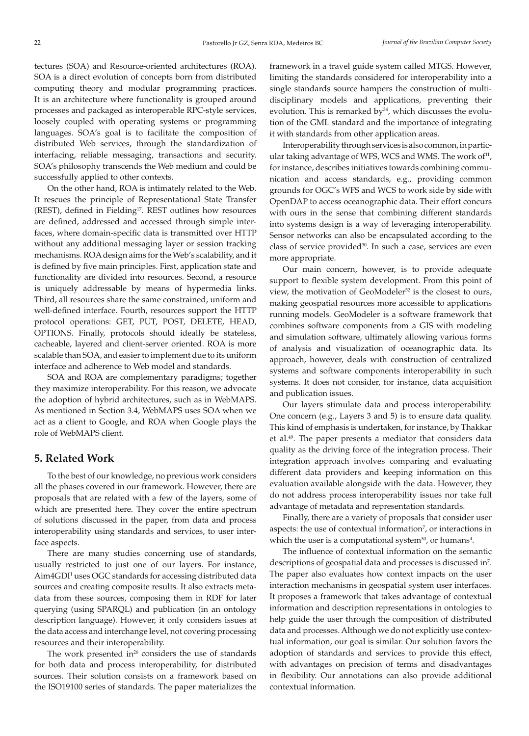tectures (SOA) and Resource-oriented architectures (ROA). SOA is a direct evolution of concepts born from distributed computing theory and modular programming practices. It is an architecture where functionality is grouped around processes and packaged as interoperable RPC-style services, loosely coupled with operating systems or programming languages. SOA's goal is to facilitate the composition of distributed Web services, through the standardization of interfacing, reliable messaging, transactions and security. SOA's philosophy transcends the Web medium and could be successfully applied to other contexts.

On the other hand, ROA is intimately related to the Web. It rescues the principle of Representational State Transfer (REST), defined in Fielding<sup>17</sup>. REST outlines how resources are defined, addressed and accessed through simple interfaces, where domain-specific data is transmitted over HTTP without any additional messaging layer or session tracking mechanisms. ROA design aims for the Web's scalability, and it is defined by five main principles. First, application state and functionality are divided into resources. Second, a resource is uniquely addressable by means of hypermedia links. Third, all resources share the same constrained, uniform and well-defined interface. Fourth, resources support the HTTP protocol operations: GET, PUT, POST, DELETE, HEAD, OPTIONS. Finally, protocols should ideally be stateless, cacheable, layered and client-server oriented. ROA is more scalable than SOA, and easier to implement due to its uniform interface and adherence to Web model and standards.

SOA and ROA are complementary paradigms; together they maximize interoperability. For this reason, we advocate the adoption of hybrid architectures, such as in WebMAPS. As mentioned in Section 3.4, WebMAPS uses SOA when we act as a client to Google, and ROA when Google plays the role of WebMAPS client.

# **5. Related Work**

To the best of our knowledge, no previous work considers all the phases covered in our framework. However, there are proposals that are related with a few of the layers, some of which are presented here. They cover the entire spectrum of solutions discussed in the paper, from data and process interoperability using standards and services, to user interface aspects.

There are many studies concerning use of standards, usually restricted to just one of our layers. For instance, Aim4GDI1 uses OGC standards for accessing distributed data sources and creating composite results. It also extracts metadata from these sources, composing them in RDF for later querying (using SPARQL) and publication (in an ontology description language). However, it only considers issues at the data access and interchange level, not covering processing resources and their interoperability.

The work presented in $26$  considers the use of standards for both data and process interoperability, for distributed sources. Their solution consists on a framework based on the ISO19100 series of standards. The paper materializes the framework in a travel guide system called MTGS. However, limiting the standards considered for interoperability into a single standards source hampers the construction of multidisciplinary models and applications, preventing their evolution. This is remarked by<sup>34</sup>, which discusses the evolution of the GML standard and the importance of integrating it with standards from other application areas.

Interoperability through services is also common, in particular taking advantage of WFS, WCS and WMS. The work of<sup>11</sup>, for instance, describes initiatives towards combining communication and access standards, e.g., providing common grounds for OGC's WFS and WCS to work side by side with OpenDAP to access oceanographic data. Their effort concurs with ours in the sense that combining different standards into systems design is a way of leveraging interoperability. Sensor networks can also be encapsulated according to the class of service provided<sup>30</sup>. In such a case, services are even more appropriate.

Our main concern, however, is to provide adequate support to flexible system development. From this point of view, the motivation of GeoModeler<sup>52</sup> is the closest to ours, making geospatial resources more accessible to applications running models. GeoModeler is a software framework that combines software components from a GIS with modeling and simulation software, ultimately allowing various forms of analysis and visualization of oceanographic data. Its approach, however, deals with construction of centralized systems and software components interoperability in such systems. It does not consider, for instance, data acquisition and publication issues.

Our layers stimulate data and process interoperability. One concern (e.g., Layers 3 and 5) is to ensure data quality. This kind of emphasis is undertaken, for instance, by Thakkar et al.<sup>49</sup>. The paper presents a mediator that considers data quality as the driving force of the integration process. Their integration approach involves comparing and evaluating different data providers and keeping information on this evaluation available alongside with the data. However, they do not address process interoperability issues nor take full advantage of metadata and representation standards.

Finally, there are a variety of proposals that consider user aspects: the use of contextual information<sup>7</sup>, or interactions in which the user is a computational system $^{30}$ , or humans $^{4}$ .

The influence of contextual information on the semantic descriptions of geospatial data and processes is discussed in7 . The paper also evaluates how context impacts on the user interaction mechanisms in geospatial system user interfaces. It proposes a framework that takes advantage of contextual information and description representations in ontologies to help guide the user through the composition of distributed data and processes. Although we do not explicitly use contextual information, our goal is similar. Our solution favors the adoption of standards and services to provide this effect, with advantages on precision of terms and disadvantages in flexibility. Our annotations can also provide additional contextual information.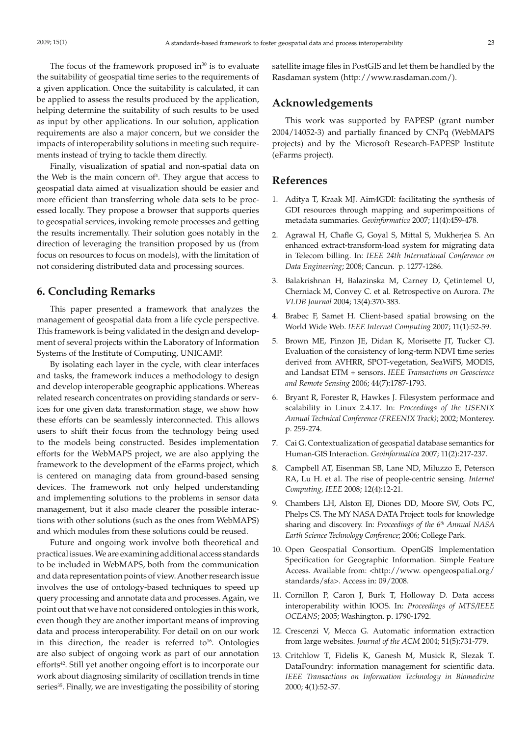The focus of the framework proposed in $30$  is to evaluate the suitability of geospatial time series to the requirements of a given application. Once the suitability is calculated, it can be applied to assess the results produced by the application, helping determine the suitability of such results to be used as input by other applications. In our solution, application requirements are also a major concern, but we consider the impacts of interoperability solutions in meeting such requirements instead of trying to tackle them directly.

Finally, visualization of spatial and non-spatial data on the Web is the main concern of<sup>4</sup>. They argue that access to geospatial data aimed at visualization should be easier and more efficient than transferring whole data sets to be processed locally. They propose a browser that supports queries to geospatial services, invoking remote processes and getting the results incrementally. Their solution goes notably in the direction of leveraging the transition proposed by us (from focus on resources to focus on models), with the limitation of not considering distributed data and processing sources.

# **6. Concluding Remarks**

This paper presented a framework that analyzes the management of geospatial data from a life cycle perspective. This framework is being validated in the design and development of several projects within the Laboratory of Information Systems of the Institute of Computing, UNICAMP.

By isolating each layer in the cycle, with clear interfaces and tasks, the framework induces a methodology to design and develop interoperable geographic applications. Whereas related research concentrates on providing standards or services for one given data transformation stage, we show how these efforts can be seamlessly interconnected. This allows users to shift their focus from the technology being used to the models being constructed. Besides implementation efforts for the WebMAPS project, we are also applying the framework to the development of the eFarms project, which is centered on managing data from ground-based sensing devices. The framework not only helped understanding and implementing solutions to the problems in sensor data management, but it also made clearer the possible interactions with other solutions (such as the ones from WebMAPS) and which modules from these solutions could be reused.

Future and ongoing work involve both theoretical and practical issues. We are examining additional access standards to be included in WebMAPS, both from the communication and data representation points of view. Another research issue involves the use of ontology-based techniques to speed up query processing and annotate data and processes. Again, we point out that we have not considered ontologies in this work, even though they are another important means of improving data and process interoperability. For detail on on our work in this direction, the reader is referred to<sup>16</sup>. Ontologies are also subject of ongoing work as part of our annotation efforts<sup>42</sup>. Still yet another ongoing effort is to incorporate our work about diagnosing similarity of oscillation trends in time series<sup>35</sup>. Finally, we are investigating the possibility of storing satellite image files in PostGIS and let them be handled by the Rasdaman system (http://www.rasdaman.com/).

# **Acknowledgements**

This work was supported by FAPESP (grant number 2004/14052-3) and partially financed by CNPq (WebMAPS projects) and by the Microsoft Research-FAPESP Institute (eFarms project).

# **References**

- 1. Aditya T, Kraak MJ. Aim4GDI: facilitating the synthesis of GDI resources through mapping and superimpositions of metadata summaries. *Geoinformatica* 2007; 11(4):459-478.
- 2. Agrawal H, Chafle G, Goyal S, Mittal S, Mukherjea S. An enhanced extract-transform-load system for migrating data in Telecom billing. In: *IEEE 24th International Conference on Data Engineering*; 2008; Cancun. p. 1277-1286.
- 3. Balakrishnan H, Balazinska M, Carney D, Çetintemel U, Cherniack M, Convey C. et al. Retrospective on Aurora. *The VLDB Journal* 2004; 13(4):370-383.
- 4. Brabec F, Samet H. Client-based spatial browsing on the World Wide Web. *IEEE Internet Computing* 2007; 11(1):52-59.
- 5. Brown ME, Pinzon JE, Didan K, Morisette JT, Tucker CJ. Evaluation of the consistency of long-term NDVI time series derived from AVHRR, SPOT-vegetation, SeaWiFS, MODIS, and Landsat ETM + sensors. *IEEE Transactions on Geoscience and Remote Sensing* 2006; 44(7):1787-1793.
- 6. Bryant R, Forester R, Hawkes J. Filesystem performace and scalability in Linux 2.4.17. In: *Proceedings of the USENIX Annual Technical Conference (FREENIX Track)*; 2002; Monterey. p. 259-274.
- 7. Cai G. Contextualization of geospatial database semantics for Human-GIS Interaction. *Geoinformatica* 2007; 11(2):217-237.
- 8. Campbell AT, Eisenman SB, Lane ND, Miluzzo E, Peterson RA, Lu H. et al. The rise of people-centric sensing. *Internet Computing, IEEE* 2008; 12(4):12-21.
- 9. Chambers LH, Alston EJ, Diones DD, Moore SW, Oots PC, Phelps CS. The MY NASA DATA Project: tools for knowledge sharing and discovery. In: *Proceedings of the 6th Annual NASA Earth Science Technology Conference*; 2006; College Park.
- 10. Open Geospatial Consortium. OpenGIS Implementation Specification for Geographic Information. Simple Feature Access. Available from: <http://www. opengeospatial.org/ standards/sfa>. Access in: 09/2008.
- 11. Cornillon P, Caron J, Burk T, Holloway D. Data access interoperability within IOOS. In: *Proceedings of MTS/IEEE OCEANS*; 2005; Washington. p. 1790-1792.
- 12. Crescenzi V, Mecca G. Automatic information extraction from large websites. *Journal of the ACM* 2004; 51(5):731-779.
- 13. Critchlow T, Fidelis K, Ganesh M, Musick R, Slezak T. DataFoundry: information management for scientific data. *IEEE Transactions on Information Technology in Biomedicine* 2000; 4(1):52-57.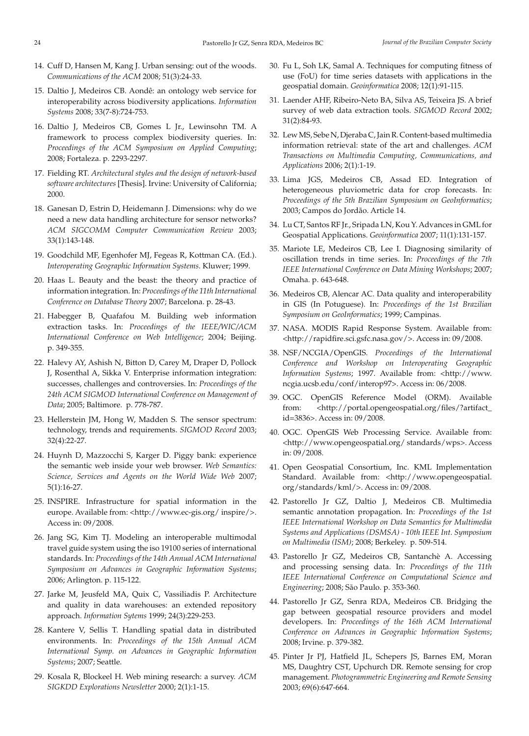- 14. Cuff D, Hansen M, Kang J. Urban sensing: out of the woods. *Communications of the ACM* 2008; 51(3):24-33.
- 15. Daltio J, Medeiros CB. Aondê: an ontology web service for interoperability across biodiversity applications. *Information Systems* 2008; 33(7-8):724-753.
- 16. Daltio J, Medeiros CB, Gomes L Jr., Lewinsohn TM. A framework to process complex biodiversity queries. In: *Proceedings of the ACM Symposium on Applied Computing*; 2008; Fortaleza. p. 2293-2297.
- 17. Fielding RT. *Architectural styles and the design of network-based software architectures* [Thesis]. Irvine: University of California; 2000.
- 18. Ganesan D, Estrin D, Heidemann J. Dimensions: why do we need a new data handling architecture for sensor networks? *ACM SIGCOMM Computer Communication Review* 2003; 33(1):143-148.
- 19. Goodchild MF, Egenhofer MJ, Fegeas R, Kottman CA. (Ed.). *Interoperating Geographic Information Systems*. Kluwer; 1999.
- 20. Haas L. Beauty and the beast: the theory and practice of information integration. In: *Proceedings of the 11th International Conference on Database Theory* 2007; Barcelona. p. 28-43.
- 21. Habegger B, Quafafou M. Building web information extraction tasks. In: *Proceedings of the IEEE/WIC/ACM International Conference on Web Intelligence*; 2004; Beijing. p. 349-355.
- 22. Halevy AY, Ashish N, Bitton D, Carey M, Draper D, Pollock J, Rosenthal A, Sikka V. Enterprise information integration: successes, challenges and controversies. In: *Proceedings of the*  24th ACM SIGMOD International Conference on Management of *Data*; 2005; Baltimore. p. 778-787.
- 23. Hellerstein JM, Hong W, Madden S. The sensor spectrum: technology, trends and requirements. *SIGMOD Record* 2003; 32(4):22-27.
- 24. Huynh D, Mazzocchi S, Karger D. Piggy bank: experience the semantic web inside your web browser. *Web Semantics: Science, Services and Agents on the World Wide Web* 2007; 5(1):16-27.
- 25. INSPIRE. Infrastructure for spatial information in the europe. Available from: <http://www.ec-gis.org/ inspire/>. Access in: 09/2008.
- 26. Jang SG, Kim TJ. Modeling an interoperable multimodal travel guide system using the iso 19100 series of international standards. In: *Proceedings of the 14th Annual ACM International Symposium on Advances in Geographic Information Systems*; 2006; Arlington. p. 115-122.
- 27. Jarke M, Jeusfeld MA, Quix C, Vassiliadis P. Architecture and quality in data warehouses: an extended repository approach. *Information Sytems* 1999; 24(3):229-253.
- 28. Kantere V, Sellis T. Handling spatial data in distributed environments. In: *Proceedings of the 15th Annual ACM International Symp. on Advances in Geographic Information Systems*; 2007; Seattle.
- 29. Kosala R, Blockeel H. Web mining research: a survey. *ACM SIGKDD Explorations Newsletter* 2000; 2(1):1-15.
- 30. Fu L, Soh LK, Samal A. Techniques for computing fitness of use (FoU) for time series datasets with applications in the geospatial domain. *Geoinformatica* 2008; 12(1):91-115.
- 31. Laender AHF, Ribeiro-Neto BA, Silva AS, Teixeira JS. A brief survey of web data extraction tools. *SIGMOD Record* 2002; 31(2):84-93.
- 32. Lew MS, Sebe N, Djeraba C, Jain R. Content-based multimedia information retrieval: state of the art and challenges. *ACM Transactions on Multimedia Computing, Communications, and Applications* 2006; 2(1):1-19.
- 33. Lima JGS, Medeiros CB, Assad ED. Integration of heterogeneous pluviometric data for crop forecasts. In: *Proceedings of the 5th Brazilian Symposium on GeoInformatics*; 2003; Campos do Jordão. Article 14.
- 34. Lu CT, Santos RF Jr., Sripada LN, Kou Y. Advances in GML for Geospatial Applications. *Geoinformatica* 2007; 11(1):131-157.
- 35. Mariote LE, Medeiros CB, Lee I. Diagnosing similarity of oscillation trends in time series. In: *Proceedings of the 7th IEEE International Conference on Data Mining Workshops*; 2007; Omaha. p. 643-648.
- 36. Medeiros CB, Alencar AC. Data quality and interoperability in GIS (In Potuguese). In: *Proceedings of the 1st Brazilian Symposium on GeoInformatics*; 1999; Campinas.
- 37. NASA. MODIS Rapid Response System. Available from: <http://rapidfire.sci.gsfc.nasa.gov/>. Access in: 09/2008.
- 38. NSF/NCGIA/OpenGIS. *Proceedings of the International Conference and Workshop on Interoperating Geographic Information Systems*; 1997. Available from: <http://www. ncgia.ucsb.edu/conf/interop97>. Access in: 06/2008.
- 39. OGC. OpenGIS Reference Model (ORM). Available from: <http://portal.opengeospatial.org/files/?artifact\_ id=3836>. Access in: 09/2008.
- 40. OGC. OpenGIS Web Processing Service. Available from: <http://www.opengeospatial.org/ standards/wps>. Access in: 09/2008.
- 41. Open Geospatial Consortium, Inc. KML Implementation Standard. Available from: <http://www.opengeospatial. org/standards/kml/>. Access in: 09/2008.
- 42. Pastorello Jr GZ, Daltio J, Medeiros CB. Multimedia semantic annotation propagation. In: *Proceedings of the 1st IEEE International Workshop on Data Semantics for Multimedia Systems and Applications (DSMSA) - 10th IEEE Int. Symposium on Multimedia (ISM)*; 2008; Berkeley. p. 509-514.
- 43. Pastorello Jr GZ, Medeiros CB, Santanchè A. Accessing and processing sensing data. In: *Proceedings of the 11th IEEE International Conference on Computational Science and Engineering*; 2008; São Paulo. p. 353-360.
- 44. Pastorello Jr GZ, Senra RDA, Medeiros CB. Bridging the gap between geospatial resource providers and model developers. In: *Proceedings of the 16th ACM International Conference on Advances in Geographic Information Systems*; 2008; Irvine. p. 379-382.
- 45. Pinter Jr PJ, Hatfield JL, Schepers JS, Barnes EM, Moran MS, Daughtry CST, Upchurch DR. Remote sensing for crop management. *Photogrammetric Engineering and Remote Sensing* 2003; 69(6):647-664.